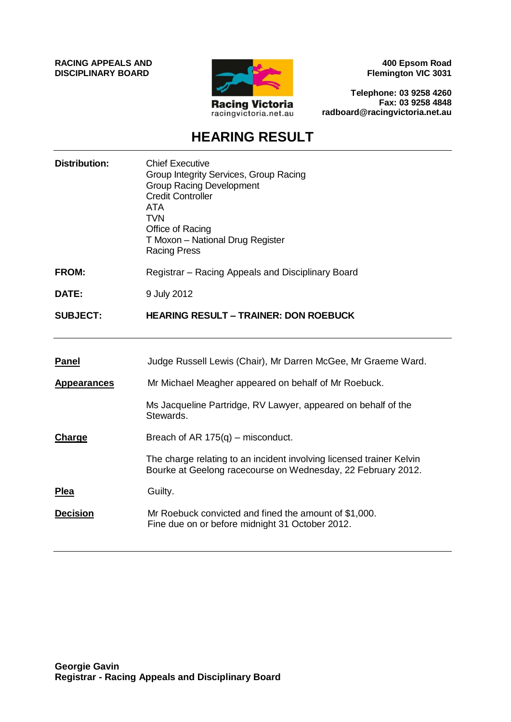**RACING APPEALS AND DISCIPLINARY BOARD**



**400 Epsom Road Flemington VIC 3031**

**Telephone: 03 9258 4260 Fax: 03 9258 4848 radboard@racingvictoria.net.au**

## **HEARING RESULT**

| <b>Distribution:</b> | <b>Chief Executive</b><br>Group Integrity Services, Group Racing<br><b>Group Racing Development</b><br><b>Credit Controller</b><br><b>ATA</b><br><b>TVN</b><br>Office of Racing<br>T Moxon - National Drug Register<br><b>Racing Press</b> |
|----------------------|--------------------------------------------------------------------------------------------------------------------------------------------------------------------------------------------------------------------------------------------|
| <b>FROM:</b>         | Registrar – Racing Appeals and Disciplinary Board                                                                                                                                                                                          |
| DATE:                | 9 July 2012                                                                                                                                                                                                                                |
| <b>SUBJECT:</b>      | <b>HEARING RESULT - TRAINER: DON ROEBUCK</b>                                                                                                                                                                                               |
|                      |                                                                                                                                                                                                                                            |
| <b>Panel</b>         | Judge Russell Lewis (Chair), Mr Darren McGee, Mr Graeme Ward.                                                                                                                                                                              |
| <b>Appearances</b>   | Mr Michael Meagher appeared on behalf of Mr Roebuck.                                                                                                                                                                                       |
|                      | Ms Jacqueline Partridge, RV Lawyer, appeared on behalf of the<br>Stewards.                                                                                                                                                                 |
| <b>Charge</b>        | Breach of AR $175(q)$ – misconduct.                                                                                                                                                                                                        |
|                      | The charge relating to an incident involving licensed trainer Kelvin<br>Bourke at Geelong racecourse on Wednesday, 22 February 2012.                                                                                                       |
| Plea                 | Guilty.                                                                                                                                                                                                                                    |
| <b>Decision</b>      | Mr Roebuck convicted and fined the amount of \$1,000.<br>Fine due on or before midnight 31 October 2012.                                                                                                                                   |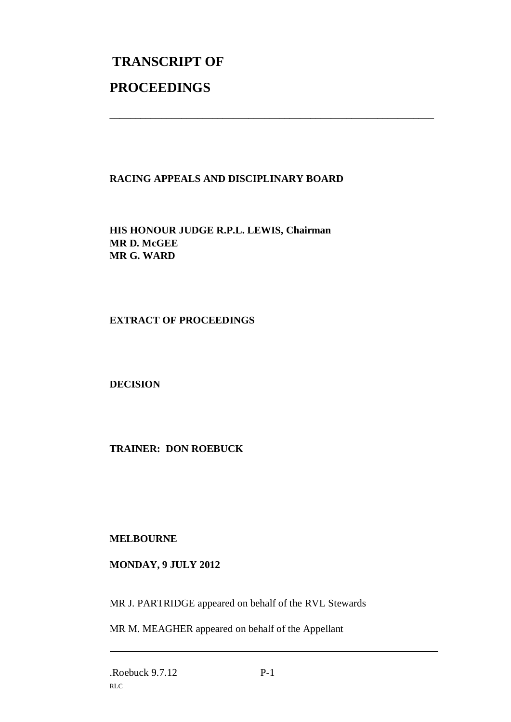# **TRANSCRIPT OF PROCEEDINGS**

### **RACING APPEALS AND DISCIPLINARY BOARD**

\_\_\_\_\_\_\_\_\_\_\_\_\_\_\_\_\_\_\_\_\_\_\_\_\_\_\_\_\_\_\_\_\_\_\_\_\_\_\_\_\_\_\_\_\_\_\_\_\_\_\_\_\_\_\_\_\_\_\_\_\_\_\_

**HIS HONOUR JUDGE R.P.L. LEWIS, Chairman MR D. McGEE MR G. WARD**

#### **EXTRACT OF PROCEEDINGS**

**DECISION**

**TRAINER: DON ROEBUCK**

#### **MELBOURNE**

#### **MONDAY, 9 JULY 2012**

MR J. PARTRIDGE appeared on behalf of the RVL Stewards

MR M. MEAGHER appeared on behalf of the Appellant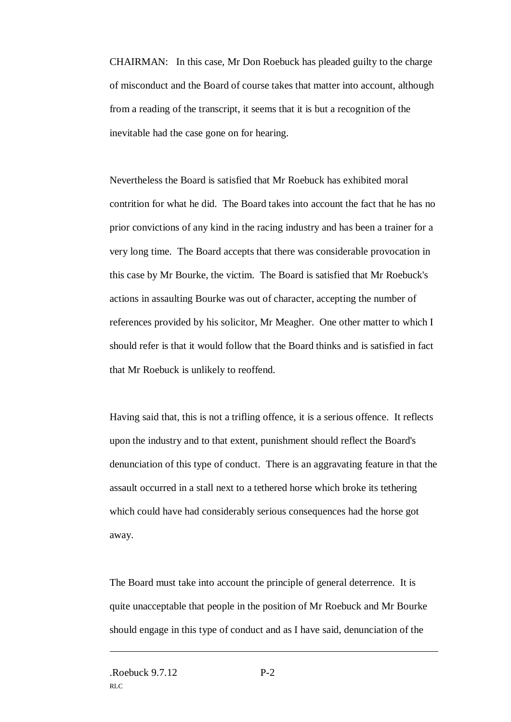CHAIRMAN: In this case, Mr Don Roebuck has pleaded guilty to the charge of misconduct and the Board of course takes that matter into account, although from a reading of the transcript, it seems that it is but a recognition of the inevitable had the case gone on for hearing.

Nevertheless the Board is satisfied that Mr Roebuck has exhibited moral contrition for what he did. The Board takes into account the fact that he has no prior convictions of any kind in the racing industry and has been a trainer for a very long time. The Board accepts that there was considerable provocation in this case by Mr Bourke, the victim. The Board is satisfied that Mr Roebuck's actions in assaulting Bourke was out of character, accepting the number of references provided by his solicitor, Mr Meagher. One other matter to which I should refer is that it would follow that the Board thinks and is satisfied in fact that Mr Roebuck is unlikely to reoffend.

Having said that, this is not a trifling offence, it is a serious offence. It reflects upon the industry and to that extent, punishment should reflect the Board's denunciation of this type of conduct. There is an aggravating feature in that the assault occurred in a stall next to a tethered horse which broke its tethering which could have had considerably serious consequences had the horse got away.

The Board must take into account the principle of general deterrence. It is quite unacceptable that people in the position of Mr Roebuck and Mr Bourke should engage in this type of conduct and as I have said, denunciation of the